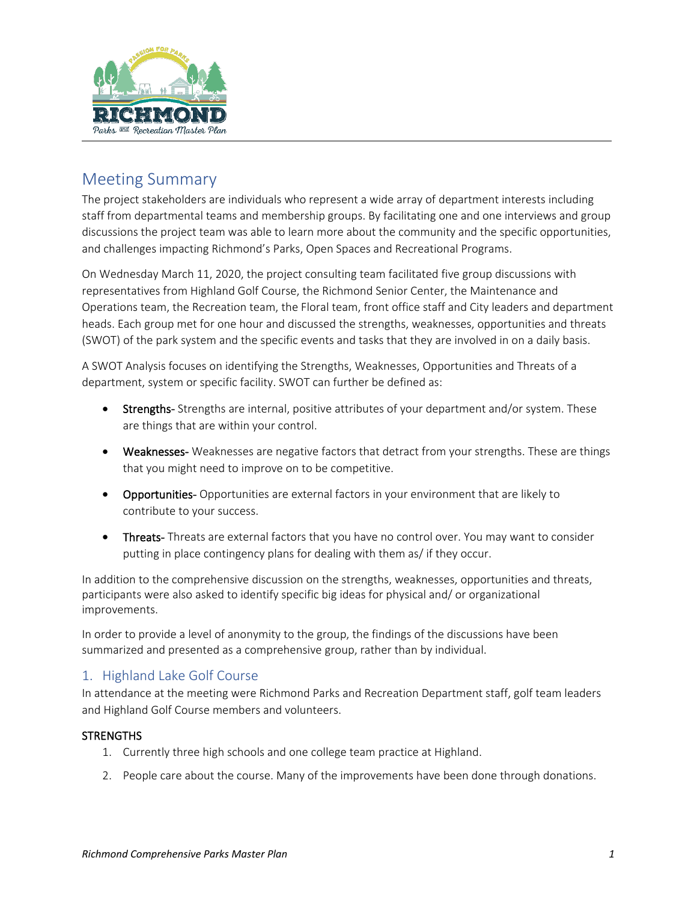

# Meeting Summary

The project stakeholders are individuals who represent a wide array of department interests including staff from departmental teams and membership groups. By facilitating one and one interviews and group discussions the project team was able to learn more about the community and the specific opportunities, and challenges impacting Richmond's Parks, Open Spaces and Recreational Programs.

On Wednesday March 11, 2020, the project consulting team facilitated five group discussions with representatives from Highland Golf Course, the Richmond Senior Center, the Maintenance and Operations team, the Recreation team, the Floral team, front office staff and City leaders and department heads. Each group met for one hour and discussed the strengths, weaknesses, opportunities and threats (SWOT) of the park system and the specific events and tasks that they are involved in on a daily basis.

A SWOT Analysis focuses on identifying the Strengths, Weaknesses, Opportunities and Threats of a department, system or specific facility. SWOT can further be defined as:

- Strengths-Strengths are internal, positive attributes of your department and/or system. These are things that are within your control.
- Weaknesses-Weaknesses are negative factors that detract from your strengths. These are things that you might need to improve on to be competitive.
- Opportunities- Opportunities are external factors in your environment that are likely to contribute to your success.
- Threats- Threats are external factors that you have no control over. You may want to consider putting in place contingency plans for dealing with them as/ if they occur.

In addition to the comprehensive discussion on the strengths, weaknesses, opportunities and threats, participants were also asked to identify specific big ideas for physical and/ or organizational improvements.

In order to provide a level of anonymity to the group, the findings of the discussions have been summarized and presented as a comprehensive group, rather than by individual.

# 1. Highland Lake Golf Course

In attendance at the meeting were Richmond Parks and Recreation Department staff, golf team leaders and Highland Golf Course members and volunteers.

### **STRENGTHS**

- 1. Currently three high schools and one college team practice at Highland.
- 2. People care about the course. Many of the improvements have been done through donations.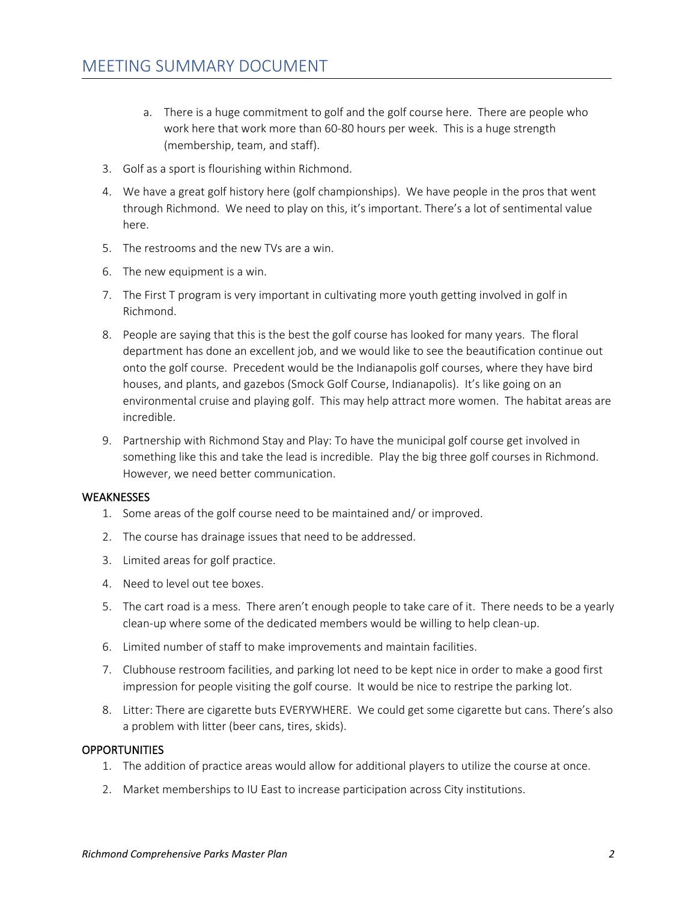- a. There is a huge commitment to golf and the golf course here. There are people who work here that work more than 60-80 hours per week. This is a huge strength (membership, team, and staff).
- 3. Golf as a sport is flourishing within Richmond.
- 4. We have a great golf history here (golf championships). We have people in the pros that went through Richmond. We need to play on this, it's important. There's a lot of sentimental value here.
- 5. The restrooms and the new TVs are a win.
- 6. The new equipment is a win.
- 7. The First T program is very important in cultivating more youth getting involved in golf in Richmond.
- 8. People are saying that this is the best the golf course has looked for many years. The floral department has done an excellent job, and we would like to see the beautification continue out onto the golf course. Precedent would be the Indianapolis golf courses, where they have bird houses, and plants, and gazebos (Smock Golf Course, Indianapolis). It's like going on an environmental cruise and playing golf. This may help attract more women. The habitat areas are incredible.
- 9. Partnership with Richmond Stay and Play: To have the municipal golf course get involved in something like this and take the lead is incredible. Play the big three golf courses in Richmond. However, we need better communication.

#### **WEAKNESSES**

- 1. Some areas of the golf course need to be maintained and/ or improved.
- 2. The course has drainage issues that need to be addressed.
- 3. Limited areas for golf practice.
- 4. Need to level out tee boxes.
- 5. The cart road is a mess. There aren't enough people to take care of it. There needs to be a yearly clean-up where some of the dedicated members would be willing to help clean-up.
- 6. Limited number of staff to make improvements and maintain facilities.
- 7. Clubhouse restroom facilities, and parking lot need to be kept nice in order to make a good first impression for people visiting the golf course. It would be nice to restripe the parking lot.
- 8. Litter: There are cigarette buts EVERYWHERE. We could get some cigarette but cans. There's also a problem with litter (beer cans, tires, skids).

#### **OPPORTUNITIES**

- 1. The addition of practice areas would allow for additional players to utilize the course at once.
- 2. Market memberships to IU East to increase participation across City institutions.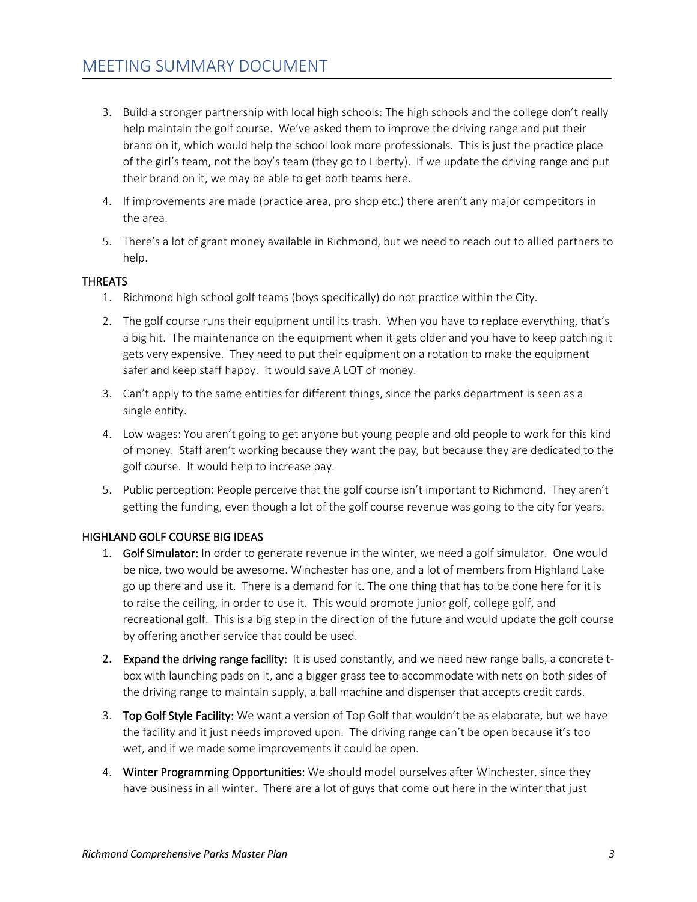- 3. Build a stronger partnership with local high schools: The high schools and the college don't really help maintain the golf course. We've asked them to improve the driving range and put their brand on it, which would help the school look more professionals. This is just the practice place of the girl's team, not the boy's team (they go to Liberty). If we update the driving range and put their brand on it, we may be able to get both teams here.
- 4. If improvements are made (practice area, pro shop etc.) there aren't any major competitors in the area.
- 5. There's a lot of grant money available in Richmond, but we need to reach out to allied partners to help.

### THREATS

- 1. Richmond high school golf teams (boys specifically) do not practice within the City.
- 2. The golf course runs their equipment until its trash. When you have to replace everything, that's a big hit. The maintenance on the equipment when it gets older and you have to keep patching it gets very expensive. They need to put their equipment on a rotation to make the equipment safer and keep staff happy. It would save A LOT of money.
- 3. Can't apply to the same entities for different things, since the parks department is seen as a single entity.
- 4. Low wages: You aren't going to get anyone but young people and old people to work for this kind of money. Staff aren't working because they want the pay, but because they are dedicated to the golf course. It would help to increase pay.
- 5. Public perception: People perceive that the golf course isn't important to Richmond. They aren't getting the funding, even though a lot of the golf course revenue was going to the city for years.

### HIGHLAND GOLF COURSE BIG IDEAS

- 1. Golf Simulator: In order to generate revenue in the winter, we need a golf simulator. One would be nice, two would be awesome. Winchester has one, and a lot of members from Highland Lake go up there and use it. There is a demand for it. The one thing that has to be done here for it is to raise the ceiling, in order to use it. This would promote junior golf, college golf, and recreational golf. This is a big step in the direction of the future and would update the golf course by offering another service that could be used.
- 2. Expand the driving range facility: It is used constantly, and we need new range balls, a concrete tbox with launching pads on it, and a bigger grass tee to accommodate with nets on both sides of the driving range to maintain supply, a ball machine and dispenser that accepts credit cards.
- 3. Top Golf Style Facility: We want a version of Top Golf that wouldn't be as elaborate, but we have the facility and it just needs improved upon. The driving range can't be open because it's too wet, and if we made some improvements it could be open.
- 4. Winter Programming Opportunities: We should model ourselves after Winchester, since they have business in all winter. There are a lot of guys that come out here in the winter that just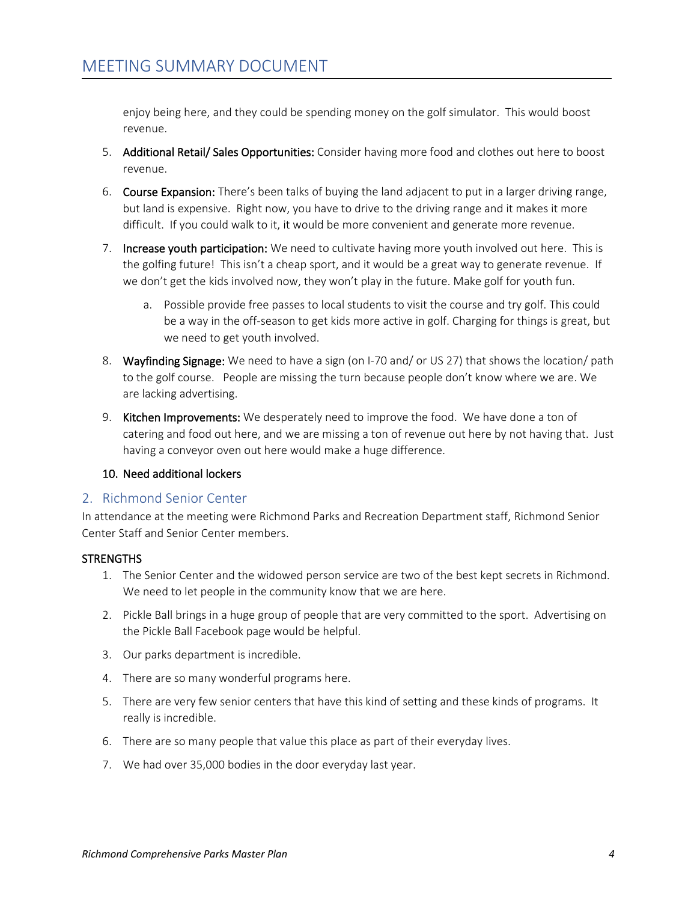enjoy being here, and they could be spending money on the golf simulator. This would boost revenue.

- 5. Additional Retail/ Sales Opportunities: Consider having more food and clothes out here to boost revenue.
- 6. Course Expansion: There's been talks of buying the land adjacent to put in a larger driving range, but land is expensive. Right now, you have to drive to the driving range and it makes it more difficult. If you could walk to it, it would be more convenient and generate more revenue.
- 7. Increase youth participation: We need to cultivate having more youth involved out here. This is the golfing future! This isn't a cheap sport, and it would be a great way to generate revenue. If we don't get the kids involved now, they won't play in the future. Make golf for youth fun.
	- a. Possible provide free passes to local students to visit the course and try golf. This could be a way in the off-season to get kids more active in golf. Charging for things is great, but we need to get youth involved.
- 8. Wayfinding Signage: We need to have a sign (on I-70 and/ or US 27) that shows the location/ path to the golf course. People are missing the turn because people don't know where we are. We are lacking advertising.
- 9. Kitchen Improvements: We desperately need to improve the food. We have done a ton of catering and food out here, and we are missing a ton of revenue out here by not having that. Just having a conveyor oven out here would make a huge difference.

### 10. Need additional lockers

### 2. Richmond Senior Center

In attendance at the meeting were Richmond Parks and Recreation Department staff, Richmond Senior Center Staff and Senior Center members.

### **STRENGTHS**

- 1. The Senior Center and the widowed person service are two of the best kept secrets in Richmond. We need to let people in the community know that we are here.
- 2. Pickle Ball brings in a huge group of people that are very committed to the sport. Advertising on the Pickle Ball Facebook page would be helpful.
- 3. Our parks department is incredible.
- 4. There are so many wonderful programs here.
- 5. There are very few senior centers that have this kind of setting and these kinds of programs. It really is incredible.
- 6. There are so many people that value this place as part of their everyday lives.
- 7. We had over 35,000 bodies in the door everyday last year.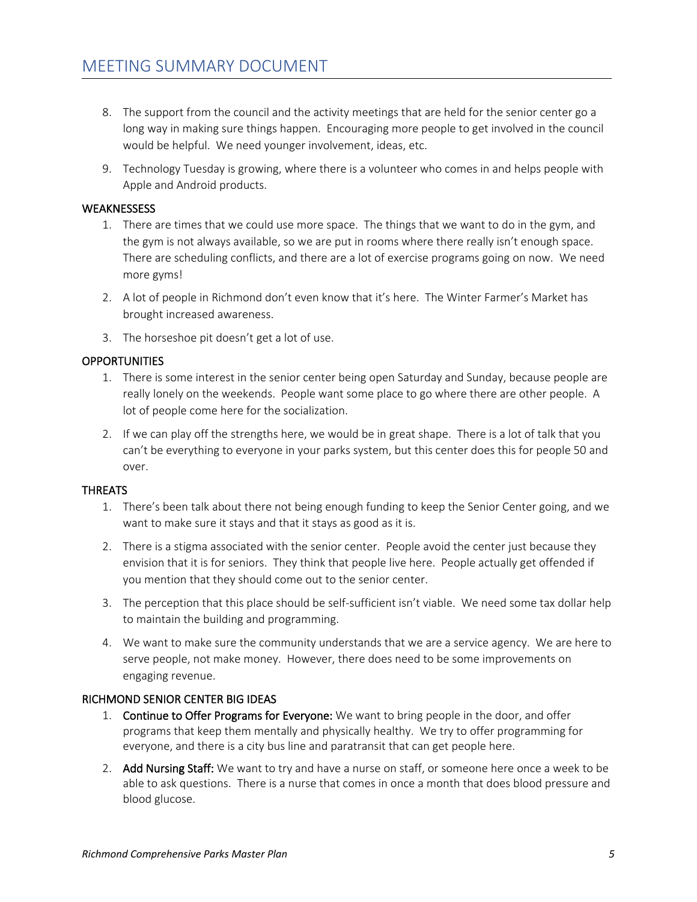- 8. The support from the council and the activity meetings that are held for the senior center go a long way in making sure things happen. Encouraging more people to get involved in the council would be helpful. We need younger involvement, ideas, etc.
- 9. Technology Tuesday is growing, where there is a volunteer who comes in and helps people with Apple and Android products.

#### **WEAKNESSESS**

- 1. There are times that we could use more space. The things that we want to do in the gym, and the gym is not always available, so we are put in rooms where there really isn't enough space. There are scheduling conflicts, and there are a lot of exercise programs going on now. We need more gyms!
- 2. A lot of people in Richmond don't even know that it's here. The Winter Farmer's Market has brought increased awareness.
- 3. The horseshoe pit doesn't get a lot of use.

#### **OPPORTUNITIES**

- 1. There is some interest in the senior center being open Saturday and Sunday, because people are really lonely on the weekends. People want some place to go where there are other people. A lot of people come here for the socialization.
- 2. If we can play off the strengths here, we would be in great shape. There is a lot of talk that you can't be everything to everyone in your parks system, but this center does this for people 50 and over.

#### THREATS

- 1. There's been talk about there not being enough funding to keep the Senior Center going, and we want to make sure it stays and that it stays as good as it is.
- 2. There is a stigma associated with the senior center. People avoid the center just because they envision that it is for seniors. They think that people live here. People actually get offended if you mention that they should come out to the senior center.
- 3. The perception that this place should be self-sufficient isn't viable. We need some tax dollar help to maintain the building and programming.
- 4. We want to make sure the community understands that we are a service agency. We are here to serve people, not make money. However, there does need to be some improvements on engaging revenue.

#### RICHMOND SENIOR CENTER BIG IDEAS

- 1. Continue to Offer Programs for Everyone: We want to bring people in the door, and offer programs that keep them mentally and physically healthy. We try to offer programming for everyone, and there is a city bus line and paratransit that can get people here.
- 2. Add Nursing Staff: We want to try and have a nurse on staff, or someone here once a week to be able to ask questions. There is a nurse that comes in once a month that does blood pressure and blood glucose.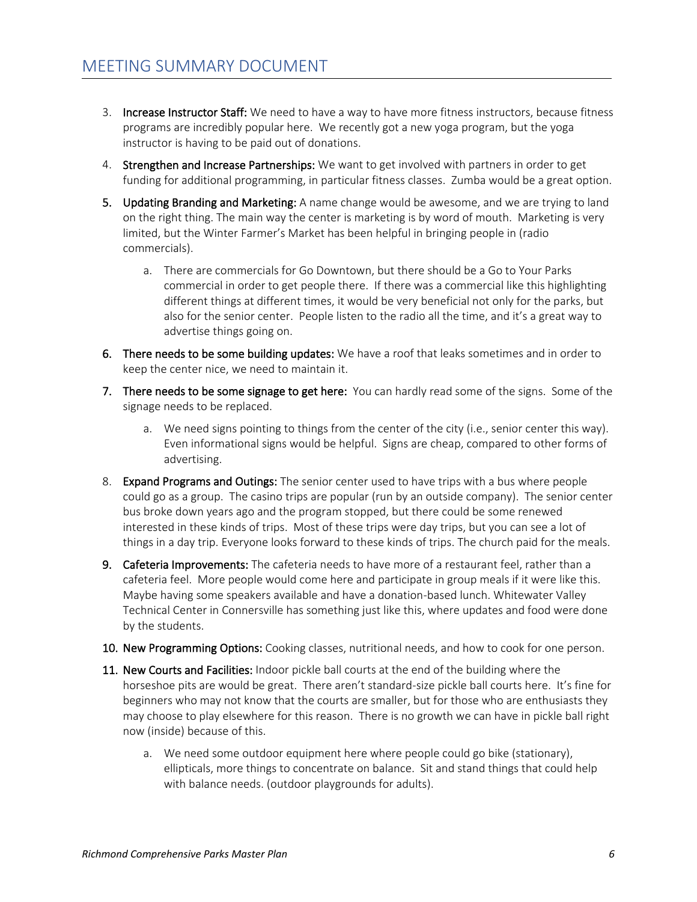- 3. Increase Instructor Staff: We need to have a way to have more fitness instructors, because fitness programs are incredibly popular here. We recently got a new yoga program, but the yoga instructor is having to be paid out of donations.
- 4. Strengthen and Increase Partnerships: We want to get involved with partners in order to get funding for additional programming, in particular fitness classes. Zumba would be a great option.
- 5. Updating Branding and Marketing: A name change would be awesome, and we are trying to land on the right thing. The main way the center is marketing is by word of mouth. Marketing is very limited, but the Winter Farmer's Market has been helpful in bringing people in (radio commercials).
	- a. There are commercials for Go Downtown, but there should be a Go to Your Parks commercial in order to get people there. If there was a commercial like this highlighting different things at different times, it would be very beneficial not only for the parks, but also for the senior center. People listen to the radio all the time, and it's a great way to advertise things going on.
- 6. There needs to be some building updates: We have a roof that leaks sometimes and in order to keep the center nice, we need to maintain it.
- 7. There needs to be some signage to get here: You can hardly read some of the signs. Some of the signage needs to be replaced.
	- a. We need signs pointing to things from the center of the city (i.e., senior center this way). Even informational signs would be helpful. Signs are cheap, compared to other forms of advertising.
- 8. Expand Programs and Outings: The senior center used to have trips with a bus where people could go as a group. The casino trips are popular (run by an outside company). The senior center bus broke down years ago and the program stopped, but there could be some renewed interested in these kinds of trips. Most of these trips were day trips, but you can see a lot of things in a day trip. Everyone looks forward to these kinds of trips. The church paid for the meals.
- 9. Cafeteria Improvements: The cafeteria needs to have more of a restaurant feel, rather than a cafeteria feel. More people would come here and participate in group meals if it were like this. Maybe having some speakers available and have a donation-based lunch. Whitewater Valley Technical Center in Connersville has something just like this, where updates and food were done by the students.
- 10. New Programming Options: Cooking classes, nutritional needs, and how to cook for one person.
- 11. New Courts and Facilities: Indoor pickle ball courts at the end of the building where the horseshoe pits are would be great. There aren't standard-size pickle ball courts here. It's fine for beginners who may not know that the courts are smaller, but for those who are enthusiasts they may choose to play elsewhere for this reason. There is no growth we can have in pickle ball right now (inside) because of this.
	- a. We need some outdoor equipment here where people could go bike (stationary), ellipticals, more things to concentrate on balance. Sit and stand things that could help with balance needs. (outdoor playgrounds for adults).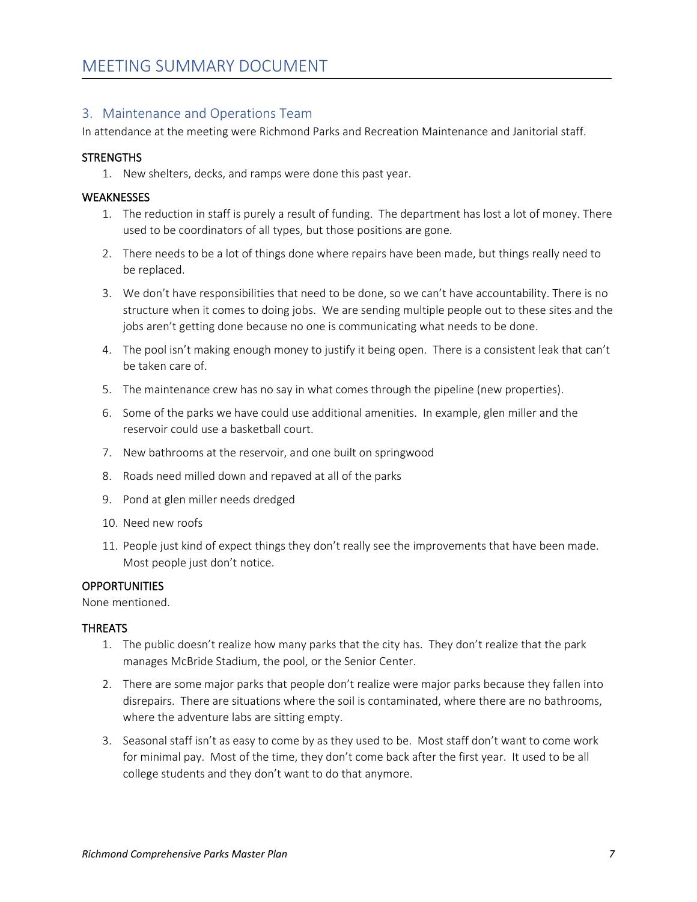### 3. Maintenance and Operations Team

In attendance at the meeting were Richmond Parks and Recreation Maintenance and Janitorial staff.

#### **STRENGTHS**

1. New shelters, decks, and ramps were done this past year.

#### **WEAKNESSES**

- 1. The reduction in staff is purely a result of funding. The department has lost a lot of money. There used to be coordinators of all types, but those positions are gone.
- 2. There needs to be a lot of things done where repairs have been made, but things really need to be replaced.
- 3. We don't have responsibilities that need to be done, so we can't have accountability. There is no structure when it comes to doing jobs. We are sending multiple people out to these sites and the jobs aren't getting done because no one is communicating what needs to be done.
- 4. The pool isn't making enough money to justify it being open. There is a consistent leak that can't be taken care of.
- 5. The maintenance crew has no say in what comes through the pipeline (new properties).
- 6. Some of the parks we have could use additional amenities. In example, glen miller and the reservoir could use a basketball court.
- 7. New bathrooms at the reservoir, and one built on springwood
- 8. Roads need milled down and repaved at all of the parks
- 9. Pond at glen miller needs dredged
- 10. Need new roofs
- 11. People just kind of expect things they don't really see the improvements that have been made. Most people just don't notice.

#### **OPPORTUNITIES**

None mentioned.

#### **THREATS**

- 1. The public doesn't realize how many parks that the city has. They don't realize that the park manages McBride Stadium, the pool, or the Senior Center.
- 2. There are some major parks that people don't realize were major parks because they fallen into disrepairs. There are situations where the soil is contaminated, where there are no bathrooms, where the adventure labs are sitting empty.
- 3. Seasonal staff isn't as easy to come by as they used to be. Most staff don't want to come work for minimal pay. Most of the time, they don't come back after the first year. It used to be all college students and they don't want to do that anymore.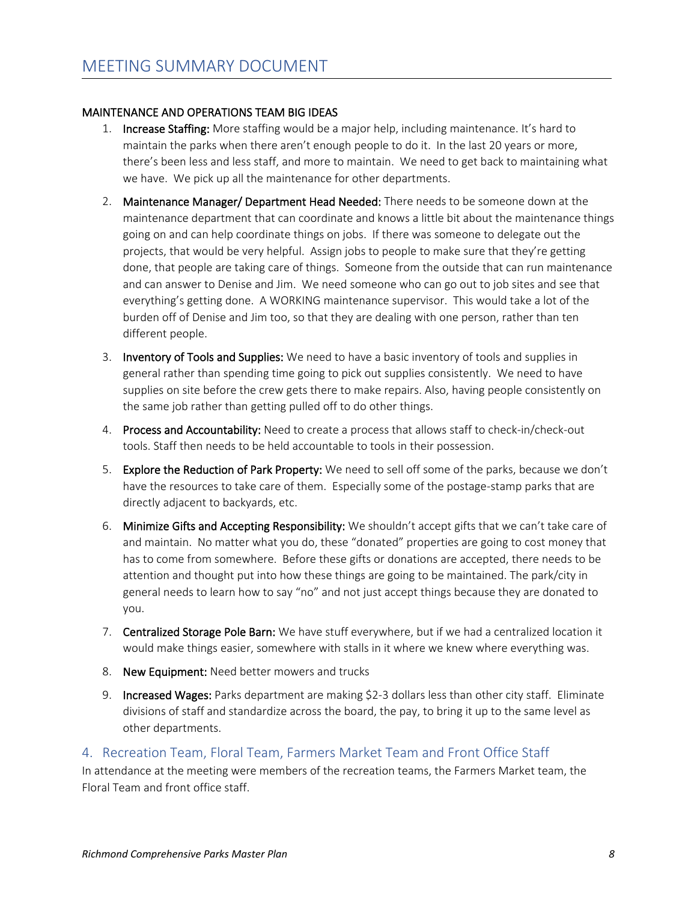### MAINTENANCE AND OPERATIONS TEAM BIG IDEAS

- 1. Increase Staffing: More staffing would be a major help, including maintenance. It's hard to maintain the parks when there aren't enough people to do it. In the last 20 years or more, there's been less and less staff, and more to maintain. We need to get back to maintaining what we have. We pick up all the maintenance for other departments.
- 2. Maintenance Manager/ Department Head Needed: There needs to be someone down at the maintenance department that can coordinate and knows a little bit about the maintenance things going on and can help coordinate things on jobs. If there was someone to delegate out the projects, that would be very helpful. Assign jobs to people to make sure that they're getting done, that people are taking care of things. Someone from the outside that can run maintenance and can answer to Denise and Jim. We need someone who can go out to job sites and see that everything's getting done. A WORKING maintenance supervisor. This would take a lot of the burden off of Denise and Jim too, so that they are dealing with one person, rather than ten different people.
- 3. Inventory of Tools and Supplies: We need to have a basic inventory of tools and supplies in general rather than spending time going to pick out supplies consistently. We need to have supplies on site before the crew gets there to make repairs. Also, having people consistently on the same job rather than getting pulled off to do other things.
- 4. Process and Accountability: Need to create a process that allows staff to check-in/check-out tools. Staff then needs to be held accountable to tools in their possession.
- 5. Explore the Reduction of Park Property: We need to sell off some of the parks, because we don't have the resources to take care of them. Especially some of the postage-stamp parks that are directly adjacent to backyards, etc.
- 6. Minimize Gifts and Accepting Responsibility: We shouldn't accept gifts that we can't take care of and maintain. No matter what you do, these "donated" properties are going to cost money that has to come from somewhere. Before these gifts or donations are accepted, there needs to be attention and thought put into how these things are going to be maintained. The park/city in general needs to learn how to say "no" and not just accept things because they are donated to you.
- 7. Centralized Storage Pole Barn: We have stuff everywhere, but if we had a centralized location it would make things easier, somewhere with stalls in it where we knew where everything was.
- 8. New Equipment: Need better mowers and trucks
- 9. Increased Wages: Parks department are making \$2-3 dollars less than other city staff. Eliminate divisions of staff and standardize across the board, the pay, to bring it up to the same level as other departments.

### 4. Recreation Team, Floral Team, Farmers Market Team and Front Office Staff

In attendance at the meeting were members of the recreation teams, the Farmers Market team, the Floral Team and front office staff.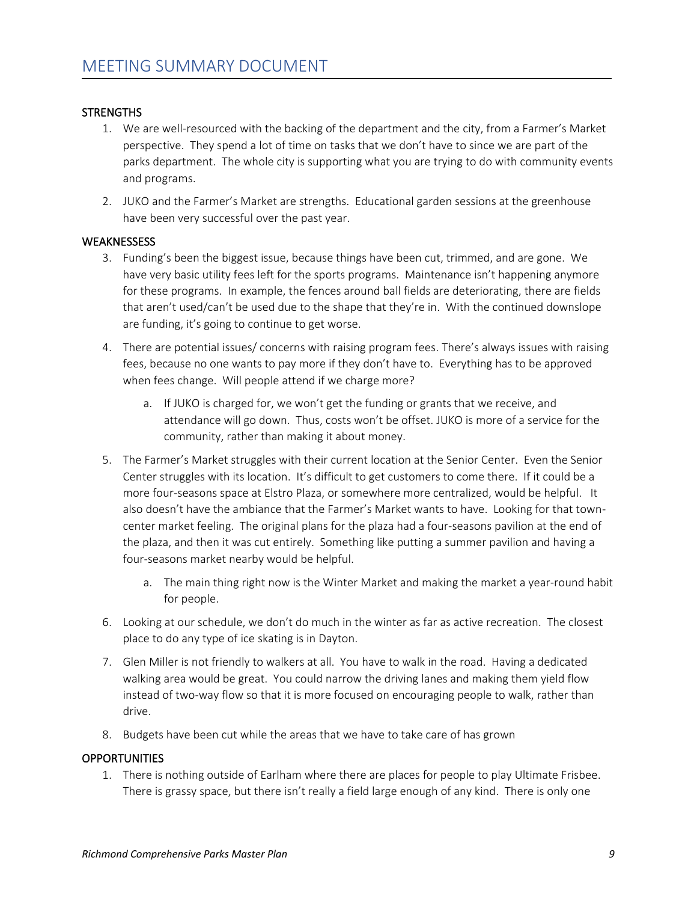### **STRENGTHS**

- 1. We are well-resourced with the backing of the department and the city, from a Farmer's Market perspective. They spend a lot of time on tasks that we don't have to since we are part of the parks department. The whole city is supporting what you are trying to do with community events and programs.
- 2. JUKO and the Farmer's Market are strengths. Educational garden sessions at the greenhouse have been very successful over the past year.

#### **WEAKNESSESS**

- 3. Funding's been the biggest issue, because things have been cut, trimmed, and are gone. We have very basic utility fees left for the sports programs. Maintenance isn't happening anymore for these programs. In example, the fences around ball fields are deteriorating, there are fields that aren't used/can't be used due to the shape that they're in. With the continued downslope are funding, it's going to continue to get worse.
- 4. There are potential issues/ concerns with raising program fees. There's always issues with raising fees, because no one wants to pay more if they don't have to. Everything has to be approved when fees change. Will people attend if we charge more?
	- a. If JUKO is charged for, we won't get the funding or grants that we receive, and attendance will go down. Thus, costs won't be offset. JUKO is more of a service for the community, rather than making it about money.
- 5. The Farmer's Market struggles with their current location at the Senior Center. Even the Senior Center struggles with its location. It's difficult to get customers to come there. If it could be a more four-seasons space at Elstro Plaza, or somewhere more centralized, would be helpful. It also doesn't have the ambiance that the Farmer's Market wants to have. Looking for that towncenter market feeling. The original plans for the plaza had a four-seasons pavilion at the end of the plaza, and then it was cut entirely. Something like putting a summer pavilion and having a four-seasons market nearby would be helpful.
	- a. The main thing right now is the Winter Market and making the market a year-round habit for people.
- 6. Looking at our schedule, we don't do much in the winter as far as active recreation. The closest place to do any type of ice skating is in Dayton.
- 7. Glen Miller is not friendly to walkers at all. You have to walk in the road. Having a dedicated walking area would be great. You could narrow the driving lanes and making them yield flow instead of two-way flow so that it is more focused on encouraging people to walk, rather than drive.
- 8. Budgets have been cut while the areas that we have to take care of has grown

#### **OPPORTUNITIES**

1. There is nothing outside of Earlham where there are places for people to play Ultimate Frisbee. There is grassy space, but there isn't really a field large enough of any kind. There is only one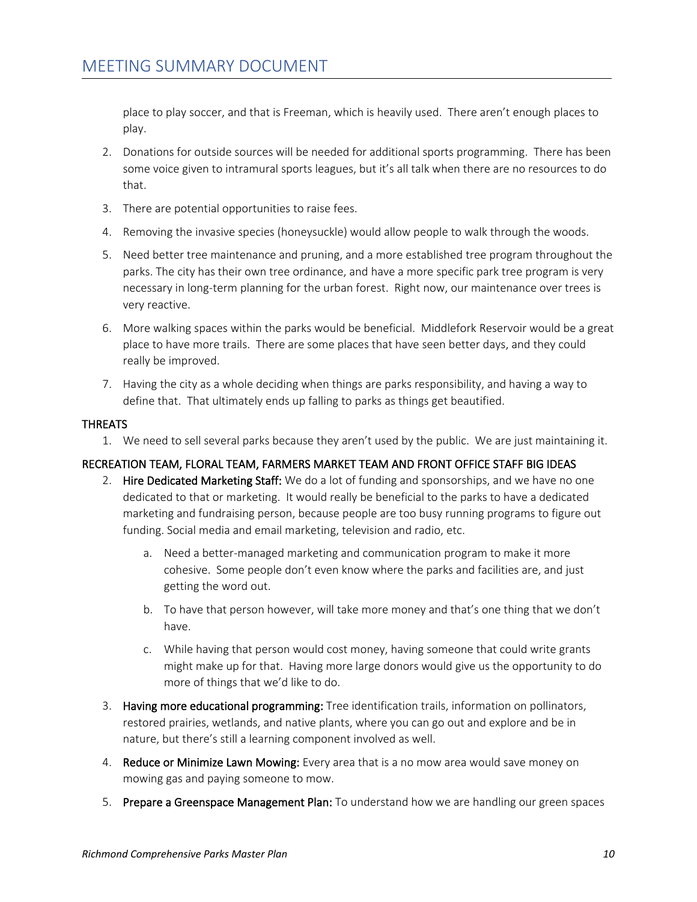place to play soccer, and that is Freeman, which is heavily used. There aren't enough places to play.

- 2. Donations for outside sources will be needed for additional sports programming. There has been some voice given to intramural sports leagues, but it's all talk when there are no resources to do that.
- 3. There are potential opportunities to raise fees.
- 4. Removing the invasive species (honeysuckle) would allow people to walk through the woods.
- 5. Need better tree maintenance and pruning, and a more established tree program throughout the parks. The city has their own tree ordinance, and have a more specific park tree program is very necessary in long-term planning for the urban forest. Right now, our maintenance over trees is very reactive.
- 6. More walking spaces within the parks would be beneficial. Middlefork Reservoir would be a great place to have more trails. There are some places that have seen better days, and they could really be improved.
- 7. Having the city as a whole deciding when things are parks responsibility, and having a way to define that. That ultimately ends up falling to parks as things get beautified.

### THREATS

1. We need to sell several parks because they aren't used by the public. We are just maintaining it.

### RECREATION TEAM, FLORAL TEAM, FARMERS MARKET TEAM AND FRONT OFFICE STAFF BIG IDEAS

- 2. Hire Dedicated Marketing Staff: We do a lot of funding and sponsorships, and we have no one dedicated to that or marketing. It would really be beneficial to the parks to have a dedicated marketing and fundraising person, because people are too busy running programs to figure out funding. Social media and email marketing, television and radio, etc.
	- a. Need a better-managed marketing and communication program to make it more cohesive. Some people don't even know where the parks and facilities are, and just getting the word out.
	- b. To have that person however, will take more money and that's one thing that we don't have.
	- c. While having that person would cost money, having someone that could write grants might make up for that. Having more large donors would give us the opportunity to do more of things that we'd like to do.
- 3. Having more educational programming: Tree identification trails, information on pollinators, restored prairies, wetlands, and native plants, where you can go out and explore and be in nature, but there's still a learning component involved as well.
- 4. Reduce or Minimize Lawn Mowing: Every area that is a no mow area would save money on mowing gas and paying someone to mow.
- 5. Prepare a Greenspace Management Plan: To understand how we are handling our green spaces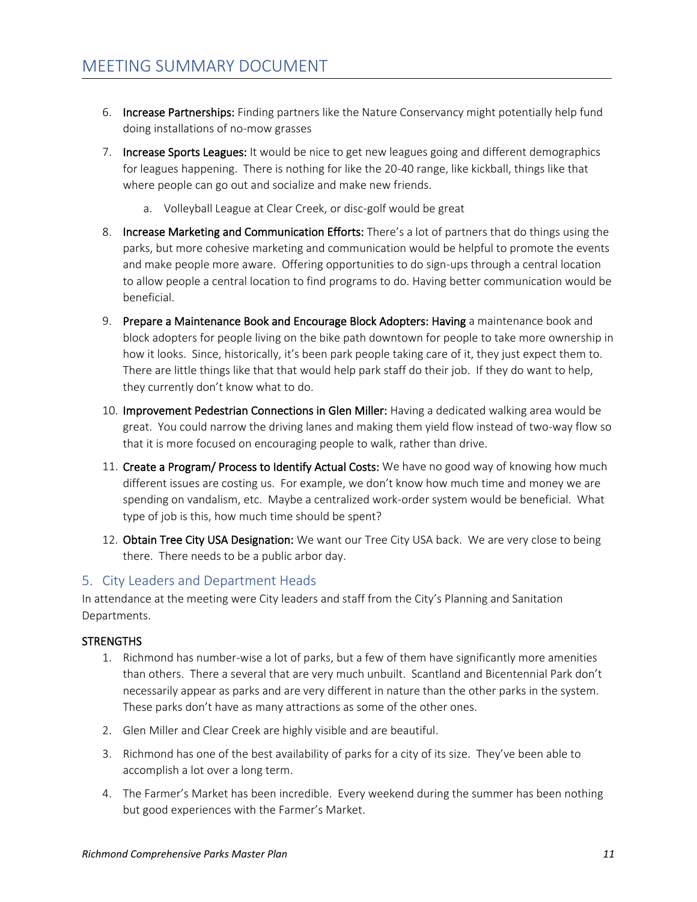- 6. Increase Partnerships: Finding partners like the Nature Conservancy might potentially help fund doing installations of no-mow grasses
- 7. Increase Sports Leagues: It would be nice to get new leagues going and different demographics for leagues happening. There is nothing for like the 20-40 range, like kickball, things like that where people can go out and socialize and make new friends.
	- a. Volleyball League at Clear Creek, or disc-golf would be great
- 8. Increase Marketing and Communication Efforts: There's a lot of partners that do things using the parks, but more cohesive marketing and communication would be helpful to promote the events and make people more aware. Offering opportunities to do sign-ups through a central location to allow people a central location to find programs to do. Having better communication would be beneficial.
- 9. Prepare a Maintenance Book and Encourage Block Adopters: Having a maintenance book and block adopters for people living on the bike path downtown for people to take more ownership in how it looks. Since, historically, it's been park people taking care of it, they just expect them to. There are little things like that that would help park staff do their job. If they do want to help, they currently don't know what to do.
- 10. Improvement Pedestrian Connections in Glen Miller: Having a dedicated walking area would be great. You could narrow the driving lanes and making them yield flow instead of two-way flow so that it is more focused on encouraging people to walk, rather than drive.
- 11. Create a Program/ Process to Identify Actual Costs: We have no good way of knowing how much different issues are costing us. For example, we don't know how much time and money we are spending on vandalism, etc. Maybe a centralized work-order system would be beneficial. What type of job is this, how much time should be spent?
- 12. Obtain Tree City USA Designation: We want our Tree City USA back. We are very close to being there. There needs to be a public arbor day.

# 5. City Leaders and Department Heads

In attendance at the meeting were City leaders and staff from the City's Planning and Sanitation Departments.

### **STRENGTHS**

- 1. Richmond has number-wise a lot of parks, but a few of them have significantly more amenities than others. There a several that are very much unbuilt. Scantland and Bicentennial Park don't necessarily appear as parks and are very different in nature than the other parks in the system. These parks don't have as many attractions as some of the other ones.
- 2. Glen Miller and Clear Creek are highly visible and are beautiful.
- 3. Richmond has one of the best availability of parks for a city of its size. They've been able to accomplish a lot over a long term.
- 4. The Farmer's Market has been incredible. Every weekend during the summer has been nothing but good experiences with the Farmer's Market.